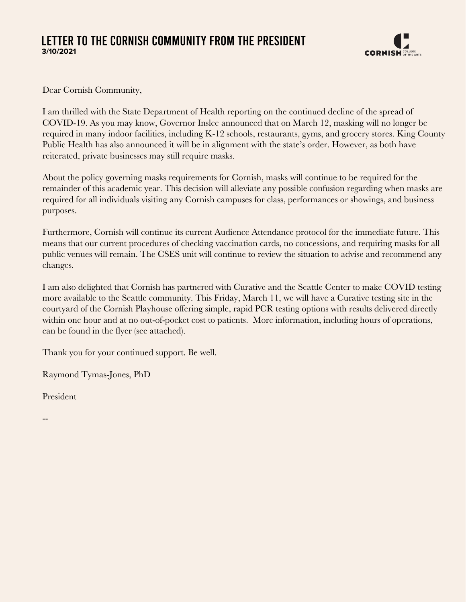## LETTER TO THE CORNISH COMMUNITY FROM THE PRESIDENT **3/10/2021**



Dear Cornish Community,

I am thrilled with the State Department of Health reporting on the continued decline of the spread of COVID-19. As you may know, Governor Inslee announced that on March 12, masking will no longer be required in many indoor facilities, including K-12 schools, restaurants, gyms, and grocery stores. King County Public Health has also announced it will be in alignment with the state's order. However, as both have reiterated, private businesses may still require masks.

About the policy governing masks requirements for Cornish, masks will continue to be required for the remainder of this academic year. This decision will alleviate any possible confusion regarding when masks are required for all individuals visiting any Cornish campuses for class, performances or showings, and business purposes.

Furthermore, Cornish will continue its current Audience Attendance protocol for the immediate future. This means that our current procedures of checking vaccination cards, no concessions, and requiring masks for all public venues will remain. The CSES unit will continue to review the situation to advise and recommend any changes.

I am also delighted that Cornish has partnered with Curative and the Seattle Center to make COVID testing more available to the Seattle community. This Friday, March 11, we will have a Curative testing site in the courtyard of the Cornish Playhouse offering simple, rapid PCR testing options with results delivered directly within one hour and at no out-of-pocket cost to patients. More information, including hours of operations, can be found in the flyer (see attached).

Thank you for your continued support. Be well.

Raymond Tymas-Jones, PhD

President

--